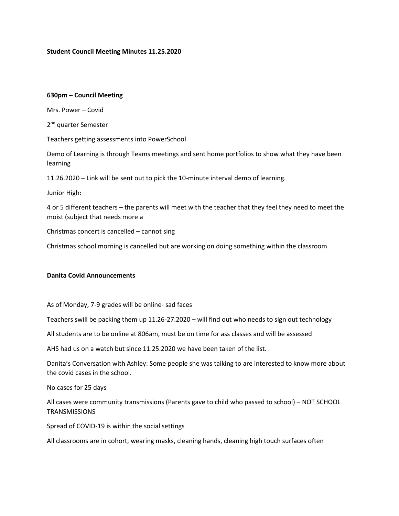## **Student Council Meeting Minutes 11.25.2020**

#### **630pm – Council Meeting**

Mrs. Power – Covid

2<sup>nd</sup> quarter Semester

Teachers getting assessments into PowerSchool

Demo of Learning is through Teams meetings and sent home portfolios to show what they have been learning

11.26.2020 – Link will be sent out to pick the 10-minute interval demo of learning.

Junior High:

4 or 5 different teachers – the parents will meet with the teacher that they feel they need to meet the moist (subject that needs more a

Christmas concert is cancelled – cannot sing

Christmas school morning is cancelled but are working on doing something within the classroom

## **Danita Covid Announcements**

As of Monday, 7-9 grades will be online- sad faces

Teachers swill be packing them up 11.26-27.2020 – will find out who needs to sign out technology

All students are to be online at 806am, must be on time for ass classes and will be assessed

AHS had us on a watch but since 11.25.2020 we have been taken of the list.

Danita's Conversation with Ashley: Some people she was talking to are interested to know more about the covid cases in the school.

No cases for 25 days

All cases were community transmissions (Parents gave to child who passed to school) – NOT SCHOOL **TRANSMISSIONS** 

Spread of COVID-19 is within the social settings

All classrooms are in cohort, wearing masks, cleaning hands, cleaning high touch surfaces often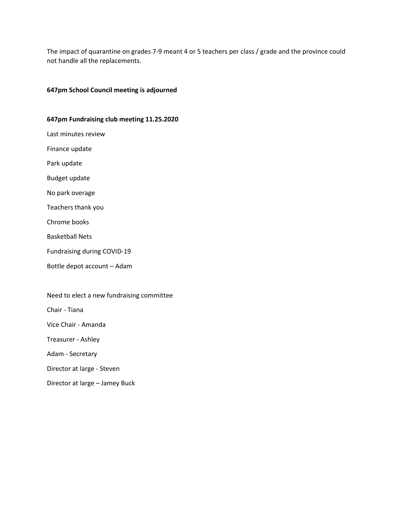The impact of quarantine on grades 7-9 meant 4 or 5 teachers per class / grade and the province could not handle all the replacements.

# **647pm School Council meeting is adjourned**

#### **647pm Fundraising club meeting 11.25.2020**

Last minutes review

Finance update

Park update

Budget update

No park overage

Teachers thank you

Chrome books

Basketball Nets

Fundraising during COVID-19

Bottle depot account – Adam

Need to elect a new fundraising committee

Chair - Tiana

Vice Chair - Amanda

Treasurer - Ashley

Adam - Secretary

Director at large - Steven

Director at large – Jamey Buck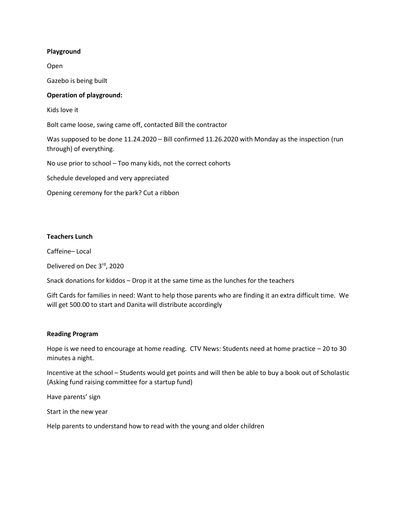# **Playground**

Open

Gazebo is being built

# **Operation of playground:**

Kids love it

Bolt came loose, swing came off, contacted Bill the contractor

Was supposed to be done 11.24.2020 – Bill confirmed 11.26.2020 with Monday as the inspection (run through) of everything.

No use prior to school – Too many kids, not the correct cohorts

Schedule developed and very appreciated

Opening ceremony for the park? Cut a ribbon

# **Teachers Lunch**

Caffeine– Local

Delivered on Dec 3rd, 2020

Snack donations for kiddos – Drop it at the same time as the lunches for the teachers

Gift Cards for families in need: Want to help those parents who are finding it an extra difficult time. We will get 500.00 to start and Danita will distribute accordingly

## **Reading Program**

Hope is we need to encourage at home reading. CTV News: Students need at home practice – 20 to 30 minutes a night.

Incentive at the school – Students would get points and will then be able to buy a book out of Scholastic (Asking fund raising committee for a startup fund)

Have parents' sign

Start in the new year

Help parents to understand how to read with the young and older children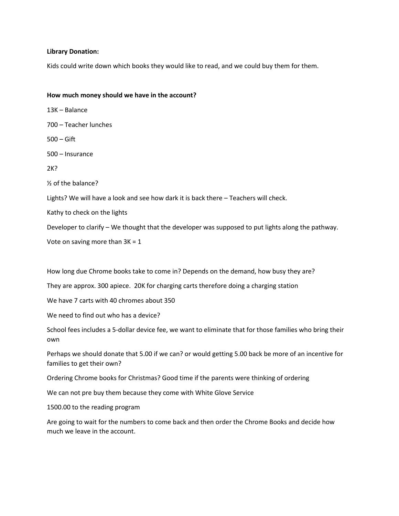## **Library Donation:**

Kids could write down which books they would like to read, and we could buy them for them.

## **How much money should we have in the account?**

13K – Balance 700 – Teacher lunches 500 – Gift 500 – Insurance 2K? ½ of the balance? Lights? We will have a look and see how dark it is back there – Teachers will check. Kathy to check on the lights Developer to clarify – We thought that the developer was supposed to put lights along the pathway. Vote on saving more than  $3K = 1$ 

How long due Chrome books take to come in? Depends on the demand, how busy they are?

They are approx. 300 apiece. 20K for charging carts therefore doing a charging station

We have 7 carts with 40 chromes about 350

We need to find out who has a device?

School fees includes a 5-dollar device fee, we want to eliminate that for those families who bring their own

Perhaps we should donate that 5.00 if we can? or would getting 5.00 back be more of an incentive for families to get their own?

Ordering Chrome books for Christmas? Good time if the parents were thinking of ordering

We can not pre buy them because they come with White Glove Service

1500.00 to the reading program

Are going to wait for the numbers to come back and then order the Chrome Books and decide how much we leave in the account.